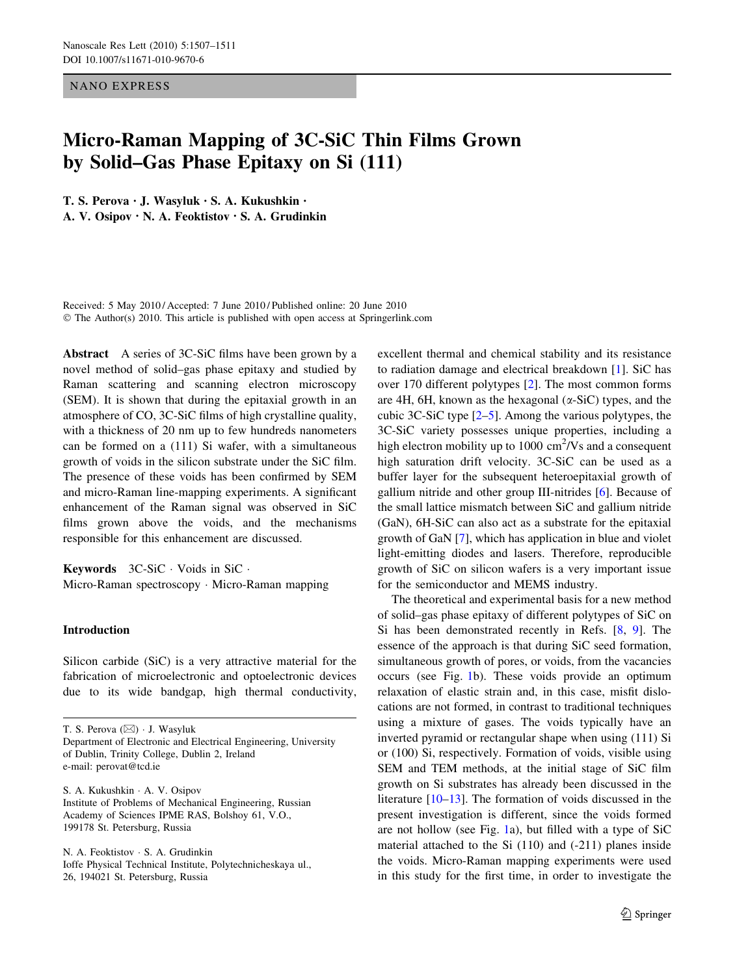NANO EXPRESS

# Micro-Raman Mapping of 3C-SiC Thin Films Grown by Solid–Gas Phase Epitaxy on Si (111)

T. S. Perova • J. Wasyluk • S. A. Kukushkin • A. V. Osipov • N. A. Feoktistov • S. A. Grudinkin

Received: 5 May 2010 / Accepted: 7 June 2010 / Published online: 20 June 2010 © The Author(s) 2010. This article is published with open access at Springerlink.com

Abstract A series of 3C-SiC films have been grown by a novel method of solid–gas phase epitaxy and studied by Raman scattering and scanning electron microscopy (SEM). It is shown that during the epitaxial growth in an atmosphere of CO, 3C-SiC films of high crystalline quality, with a thickness of 20 nm up to few hundreds nanometers can be formed on a (111) Si wafer, with a simultaneous growth of voids in the silicon substrate under the SiC film. The presence of these voids has been confirmed by SEM and micro-Raman line-mapping experiments. A significant enhancement of the Raman signal was observed in SiC films grown above the voids, and the mechanisms responsible for this enhancement are discussed.

**Keywords**  $3C-SiC \cdot \text{Voids in SiC} \cdot$ Micro-Raman spectroscopy - Micro-Raman mapping

# Introduction

Silicon carbide (SiC) is a very attractive material for the fabrication of microelectronic and optoelectronic devices due to its wide bandgap, high thermal conductivity,

T. S. Perova (⊠) · J. Wasyluk Department of Electronic and Electrical Engineering, University of Dublin, Trinity College, Dublin 2, Ireland e-mail: perovat@tcd.ie

S. A. Kukushkin - A. V. Osipov Institute of Problems of Mechanical Engineering, Russian Academy of Sciences IPME RAS, Bolshoy 61, V.O., 199178 St. Petersburg, Russia

N. A. Feoktistov - S. A. Grudinkin Ioffe Physical Technical Institute, Polytechnicheskaya ul., 26, 194021 St. Petersburg, Russia

excellent thermal and chemical stability and its resistance to radiation damage and electrical breakdown [[1\]](#page-3-0). SiC has over 170 different polytypes [[2\]](#page-3-0). The most common forms are 4H, 6H, known as the hexagonal  $(\alpha$ -SiC) types, and the cubic 3C-SiC type [[2–5\]](#page-3-0). Among the various polytypes, the 3C-SiC variety possesses unique properties, including a high electron mobility up to  $1000 \text{ cm}^2/\text{Vs}$  and a consequent high saturation drift velocity. 3C-SiC can be used as a buffer layer for the subsequent heteroepitaxial growth of gallium nitride and other group III-nitrides [[6\]](#page-3-0). Because of the small lattice mismatch between SiC and gallium nitride (GaN), 6H-SiC can also act as a substrate for the epitaxial growth of GaN [\[7](#page-3-0)], which has application in blue and violet light-emitting diodes and lasers. Therefore, reproducible growth of SiC on silicon wafers is a very important issue for the semiconductor and MEMS industry.

The theoretical and experimental basis for a new method of solid–gas phase epitaxy of different polytypes of SiC on Si has been demonstrated recently in Refs. [\[8](#page-3-0), [9\]](#page-3-0). The essence of the approach is that during SiC seed formation, simultaneous growth of pores, or voids, from the vacancies occurs (see Fig. [1b](#page-1-0)). These voids provide an optimum relaxation of elastic strain and, in this case, misfit dislocations are not formed, in contrast to traditional techniques using a mixture of gases. The voids typically have an inverted pyramid or rectangular shape when using (111) Si or (100) Si, respectively. Formation of voids, visible using SEM and TEM methods, at the initial stage of SiC film growth on Si substrates has already been discussed in the literature [[10–13\]](#page-4-0). The formation of voids discussed in the present investigation is different, since the voids formed are not hollow (see Fig. [1](#page-1-0)a), but filled with a type of SiC material attached to the Si (110) and (-211) planes inside the voids. Micro-Raman mapping experiments were used in this study for the first time, in order to investigate the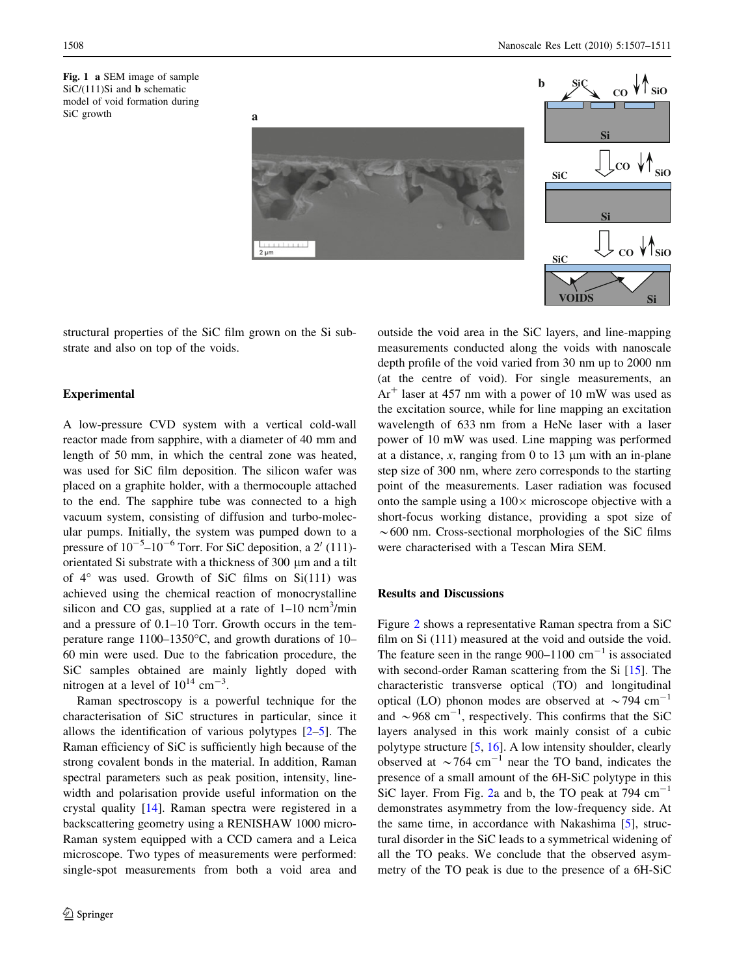<span id="page-1-0"></span>Fig. 1 a SEM image of sample  $SiC/(111)Si$  and **b** schematic model of void formation during SiC growth



structural properties of the SiC film grown on the Si substrate and also on top of the voids.

## Experimental

A low-pressure CVD system with a vertical cold-wall reactor made from sapphire, with a diameter of 40 mm and length of 50 mm, in which the central zone was heated, was used for SiC film deposition. The silicon wafer was placed on a graphite holder, with a thermocouple attached to the end. The sapphire tube was connected to a high vacuum system, consisting of diffusion and turbo-molecular pumps. Initially, the system was pumped down to a pressure of  $10^{-5}$ – $10^{-6}$  Torr. For SiC deposition, a 2' (111)orientated Si substrate with a thickness of 300 µm and a tilt of  $4^\circ$  was used. Growth of SiC films on Si(111) was achieved using the chemical reaction of monocrystalline silicon and CO gas, supplied at a rate of  $1-10$  ncm<sup>3</sup>/min and a pressure of 0.1–10 Torr. Growth occurs in the temperature range  $1100-1350$ °C, and growth durations of 10– 60 min were used. Due to the fabrication procedure, the SiC samples obtained are mainly lightly doped with nitrogen at a level of  $10^{14}$  cm<sup>-3</sup>.

Raman spectroscopy is a powerful technique for the characterisation of SiC structures in particular, since it allows the identification of various polytypes [\[2–5](#page-3-0)]. The Raman efficiency of SiC is sufficiently high because of the strong covalent bonds in the material. In addition, Raman spectral parameters such as peak position, intensity, linewidth and polarisation provide useful information on the crystal quality [\[14](#page-4-0)]. Raman spectra were registered in a backscattering geometry using a RENISHAW 1000 micro-Raman system equipped with a CCD camera and a Leica microscope. Two types of measurements were performed: single-spot measurements from both a void area and outside the void area in the SiC layers, and line-mapping measurements conducted along the voids with nanoscale depth profile of the void varied from 30 nm up to 2000 nm (at the centre of void). For single measurements, an  $Ar<sup>+</sup>$  laser at 457 nm with a power of 10 mW was used as the excitation source, while for line mapping an excitation wavelength of 633 nm from a HeNe laser with a laser power of 10 mW was used. Line mapping was performed at a distance,  $x$ , ranging from 0 to 13  $\mu$ m with an in-plane step size of 300 nm, where zero corresponds to the starting point of the measurements. Laser radiation was focused onto the sample using a  $100 \times$  microscope objective with a short-focus working distance, providing a spot size of  $\sim$  600 nm. Cross-sectional morphologies of the SiC films were characterised with a Tescan Mira SEM.

### Results and Discussions

Figure [2](#page-2-0) shows a representative Raman spectra from a SiC film on Si (111) measured at the void and outside the void. The feature seen in the range  $900-1100$  cm<sup>-1</sup> is associated with second-order Raman scattering from the Si [[15\]](#page-4-0). The characteristic transverse optical (TO) and longitudinal optical (LO) phonon modes are observed at  $\sim$ 794 cm<sup>-1</sup> and  $\sim$  968 cm<sup>-1</sup>, respectively. This confirms that the SiC layers analysed in this work mainly consist of a cubic polytype structure [[5,](#page-3-0) [16\]](#page-4-0). A low intensity shoulder, clearly observed at  $\sim$  764 cm<sup>-1</sup> near the TO band, indicates the presence of a small amount of the 6H-SiC polytype in this SiC layer. From Fig. [2](#page-2-0)a and b, the TO peak at  $794 \text{ cm}^{-1}$ demonstrates asymmetry from the low-frequency side. At the same time, in accordance with Nakashima [[5\]](#page-3-0), structural disorder in the SiC leads to a symmetrical widening of all the TO peaks. We conclude that the observed asymmetry of the TO peak is due to the presence of a 6H-SiC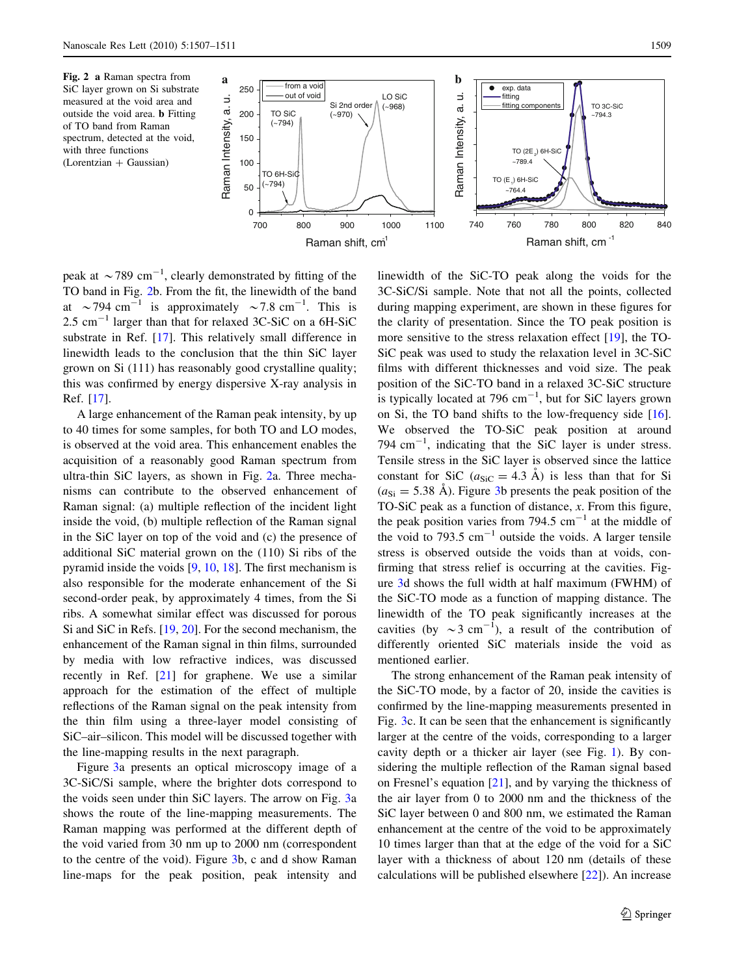<span id="page-2-0"></span>



peak at  $\sim$  789 cm<sup>-1</sup>, clearly demonstrated by fitting of the TO band in Fig. 2b. From the fit, the linewidth of the band at  $\sim$  794 cm<sup>-1</sup> is approximately  $\sim$  7.8 cm<sup>-1</sup>. This is 2.5  $cm^{-1}$  larger than that for relaxed 3C-SiC on a 6H-SiC substrate in Ref. [[17\]](#page-4-0). This relatively small difference in linewidth leads to the conclusion that the thin SiC layer grown on Si (111) has reasonably good crystalline quality; this was confirmed by energy dispersive X-ray analysis in Ref. [[17\]](#page-4-0).

A large enhancement of the Raman peak intensity, by up to 40 times for some samples, for both TO and LO modes, is observed at the void area. This enhancement enables the acquisition of a reasonably good Raman spectrum from ultra-thin SiC layers, as shown in Fig. 2a. Three mechanisms can contribute to the observed enhancement of Raman signal: (a) multiple reflection of the incident light inside the void, (b) multiple reflection of the Raman signal in the SiC layer on top of the void and (c) the presence of additional SiC material grown on the (110) Si ribs of the pyramid inside the voids [\[9](#page-3-0), [10](#page-4-0), [18](#page-4-0)]. The first mechanism is also responsible for the moderate enhancement of the Si second-order peak, by approximately 4 times, from the Si ribs. A somewhat similar effect was discussed for porous Si and SiC in Refs. [\[19](#page-4-0), [20](#page-4-0)]. For the second mechanism, the enhancement of the Raman signal in thin films, surrounded by media with low refractive indices, was discussed recently in Ref. [\[21](#page-4-0)] for graphene. We use a similar approach for the estimation of the effect of multiple reflections of the Raman signal on the peak intensity from the thin film using a three-layer model consisting of SiC–air–silicon. This model will be discussed together with the line-mapping results in the next paragraph.

Figure [3a](#page-3-0) presents an optical microscopy image of a 3C-SiC/Si sample, where the brighter dots correspond to the voids seen under thin SiC layers. The arrow on Fig. [3a](#page-3-0) shows the route of the line-mapping measurements. The Raman mapping was performed at the different depth of the void varied from 30 nm up to 2000 nm (correspondent to the centre of the void). Figure [3b](#page-3-0), c and d show Raman line-maps for the peak position, peak intensity and

linewidth of the SiC-TO peak along the voids for the 3C-SiC/Si sample. Note that not all the points, collected during mapping experiment, are shown in these figures for the clarity of presentation. Since the TO peak position is more sensitive to the stress relaxation effect [\[19](#page-4-0)], the TO-SiC peak was used to study the relaxation level in 3C-SiC films with different thicknesses and void size. The peak position of the SiC-TO band in a relaxed 3C-SiC structure is typically located at 796  $cm^{-1}$ , but for SiC layers grown on Si, the TO band shifts to the low-frequency side [\[16](#page-4-0)]. We observed the TO-SiC peak position at around 794  $\text{cm}^{-1}$ , indicating that the SiC layer is under stress. Tensile stress in the SiC layer is observed since the lattice constant for SiC ( $a_{SiC} = 4.3$  Å) is less than that for Si  $(a_{\rm Si} = 5.38 \text{ Å})$ . Figure [3b](#page-3-0) presents the peak position of the TO-SiC peak as a function of distance, x. From this figure, the peak position varies from 794.5  $cm^{-1}$  at the middle of the void to 793.5  $cm^{-1}$  outside the voids. A larger tensile stress is observed outside the voids than at voids, confirming that stress relief is occurring at the cavities. Figure [3](#page-3-0)d shows the full width at half maximum (FWHM) of the SiC-TO mode as a function of mapping distance. The linewidth of the TO peak significantly increases at the cavities (by  $\sim 3$  cm<sup>-1</sup>), a result of the contribution of differently oriented SiC materials inside the void as mentioned earlier.

The strong enhancement of the Raman peak intensity of the SiC-TO mode, by a factor of 20, inside the cavities is confirmed by the line-mapping measurements presented in Fig. [3](#page-3-0)c. It can be seen that the enhancement is significantly larger at the centre of the voids, corresponding to a larger cavity depth or a thicker air layer (see Fig. [1](#page-1-0)). By considering the multiple reflection of the Raman signal based on Fresnel's equation [[21\]](#page-4-0), and by varying the thickness of the air layer from 0 to 2000 nm and the thickness of the SiC layer between 0 and 800 nm, we estimated the Raman enhancement at the centre of the void to be approximately 10 times larger than that at the edge of the void for a SiC layer with a thickness of about 120 nm (details of these calculations will be published elsewhere [[22\]](#page-4-0)). An increase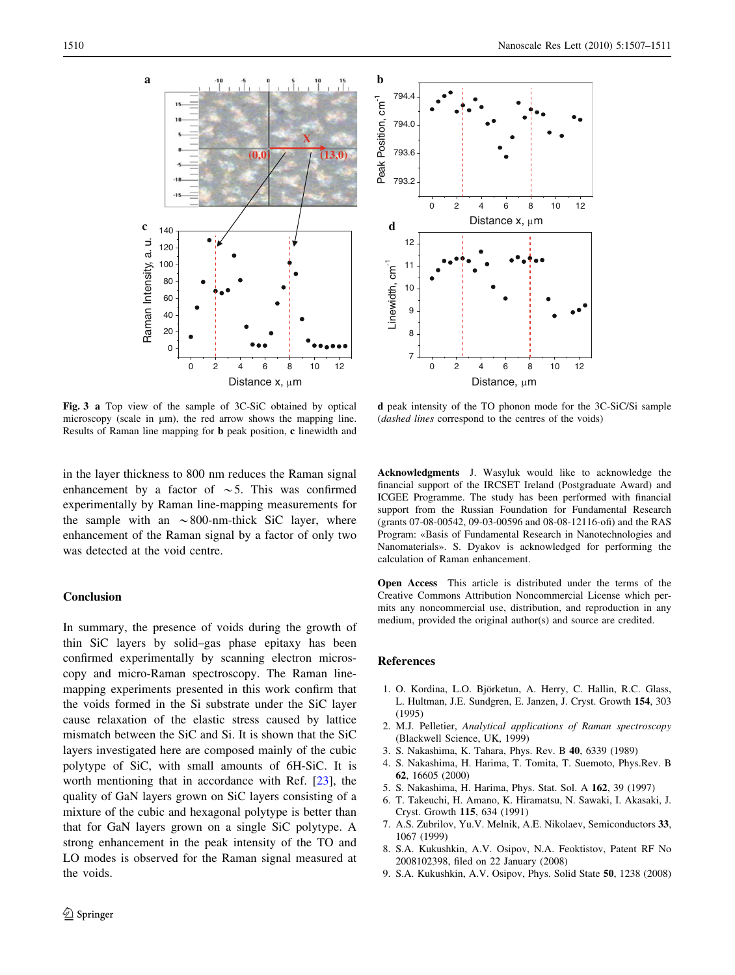<span id="page-3-0"></span>

Fig. 3 a Top view of the sample of 3C-SiC obtained by optical microscopy (scale in  $\mu$ m), the red arrow shows the mapping line. Results of Raman line mapping for b peak position, c linewidth and



d peak intensity of the TO phonon mode for the 3C-SiC/Si sample (dashed lines correspond to the centres of the voids)

in the layer thickness to 800 nm reduces the Raman signal enhancement by a factor of  $\sim$  5. This was confirmed experimentally by Raman line-mapping measurements for the sample with an  $\sim 800$ -nm-thick SiC layer, where enhancement of the Raman signal by a factor of only two was detected at the void centre.

### Conclusion

In summary, the presence of voids during the growth of thin SiC layers by solid–gas phase epitaxy has been confirmed experimentally by scanning electron microscopy and micro-Raman spectroscopy. The Raman linemapping experiments presented in this work confirm that the voids formed in the Si substrate under the SiC layer cause relaxation of the elastic stress caused by lattice mismatch between the SiC and Si. It is shown that the SiC layers investigated here are composed mainly of the cubic polytype of SiC, with small amounts of 6H-SiC. It is worth mentioning that in accordance with Ref. [[23\]](#page-4-0), the quality of GaN layers grown on SiC layers consisting of a mixture of the cubic and hexagonal polytype is better than that for GaN layers grown on a single SiC polytype. A strong enhancement in the peak intensity of the TO and LO modes is observed for the Raman signal measured at the voids.

Acknowledgments J. Wasyluk would like to acknowledge the financial support of the IRCSET Ireland (Postgraduate Award) and ICGEE Programme. The study has been performed with financial support from the Russian Foundation for Fundamental Research (grants 07-08-00542, 09-03-00596 and 08-08-12116-ofi) and the RAS Program: «Basis of Fundamental Research in Nanotechnologies and Nanomaterials». S. Dyakov is acknowledged for performing the calculation of Raman enhancement.

Open Access This article is distributed under the terms of the Creative Commons Attribution Noncommercial License which permits any noncommercial use, distribution, and reproduction in any medium, provided the original author(s) and source are credited.

#### References

- 1. O. Kordina, L.O. Björketun, A. Herry, C. Hallin, R.C. Glass, L. Hultman, J.E. Sundgren, E. Janzen, J. Cryst. Growth 154, 303 (1995)
- 2. M.J. Pelletier, Analytical applications of Raman spectroscopy (Blackwell Science, UK, 1999)
- 3. S. Nakashima, K. Tahara, Phys. Rev. B 40, 6339 (1989)
- 4. S. Nakashima, H. Harima, T. Tomita, T. Suemoto, Phys.Rev. B 62, 16605 (2000)
- 5. S. Nakashima, H. Harima, Phys. Stat. Sol. A 162, 39 (1997)
- 6. T. Takeuchi, H. Amano, K. Hiramatsu, N. Sawaki, I. Akasaki, J. Cryst. Growth 115, 634 (1991)
- 7. A.S. Zubrilov, Yu.V. Melnik, A.E. Nikolaev, Semiconductors 33, 1067 (1999)
- 8. S.A. Kukushkin, A.V. Osipov, N.A. Feoktistov, Patent RF No 2008102398, filed on 22 January (2008)
- 9. S.A. Kukushkin, A.V. Osipov, Phys. Solid State 50, 1238 (2008)